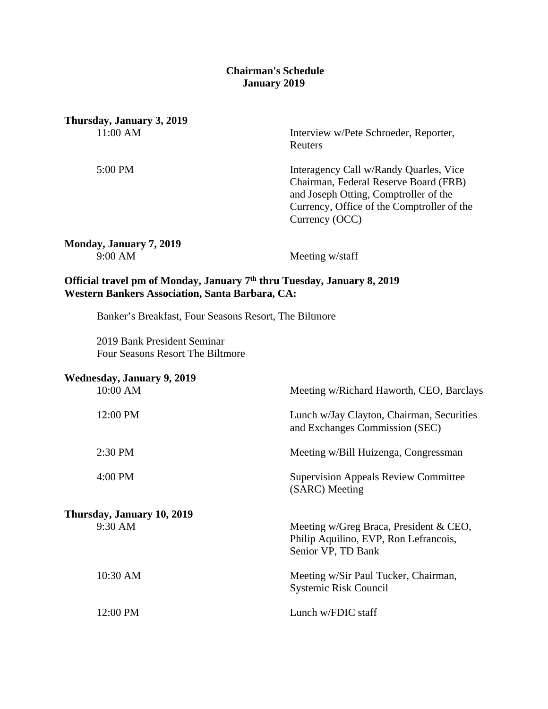#### **Chairman's Schedule January 2019**

**Thursday, January 3, 2019**

11:00 AM Interview w/Pete Schroeder, Reporter, Reuters

5:00 PM Interagency Call w/Randy Quarles, Vice Chairman, Federal Reserve Board (FRB) and Joseph Otting, Comptroller of the Currency, Office of the Comptroller of the Currency (OCC)

**Monday, January 7, 2019** 9:00 AM Meeting w/staff

# **Official travel pm of Monday, January 7th thru Tuesday, January 8, 2019 Western Bankers Association, Santa Barbara, CA:**

Banker's Breakfast, Four Seasons Resort, The Biltmore

2019 Bank President Seminar Four Seasons Resort The Biltmore

| <b>Wednesday, January 9, 2019</b>     |                                                                                                         |
|---------------------------------------|---------------------------------------------------------------------------------------------------------|
| 10:00 AM                              | Meeting w/Richard Haworth, CEO, Barclays                                                                |
| 12:00 PM                              | Lunch w/Jay Clayton, Chairman, Securities<br>and Exchanges Commission (SEC)                             |
| $2:30$ PM                             | Meeting w/Bill Huizenga, Congressman                                                                    |
| 4:00 PM                               | <b>Supervision Appeals Review Committee</b><br>(SARC) Meeting                                           |
| Thursday, January 10, 2019<br>9:30 AM | Meeting $w/Greg$ Braca, President & CEO,<br>Philip Aquilino, EVP, Ron Lefrancois,<br>Senior VP, TD Bank |
| 10:30 AM                              | Meeting w/Sir Paul Tucker, Chairman,<br>Systemic Risk Council                                           |
| 12:00 PM                              | Lunch w/FDIC staff                                                                                      |
|                                       |                                                                                                         |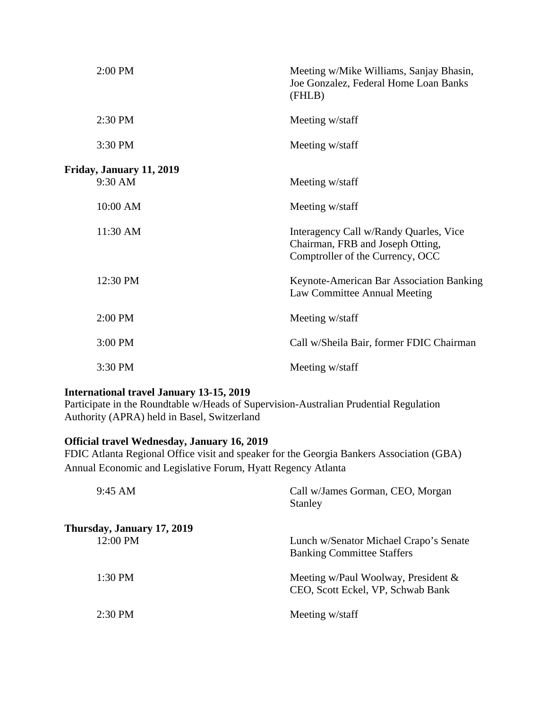| 2:00 PM                  | Meeting w/Mike Williams, Sanjay Bhasin,<br>Joe Gonzalez, Federal Home Loan Banks<br>(FHLB)                     |
|--------------------------|----------------------------------------------------------------------------------------------------------------|
| 2:30 PM                  | Meeting w/staff                                                                                                |
| 3:30 PM                  | Meeting w/staff                                                                                                |
|                          |                                                                                                                |
| Friday, January 11, 2019 |                                                                                                                |
| 9:30 AM                  | Meeting w/staff                                                                                                |
| 10:00 AM                 | Meeting w/staff                                                                                                |
| 11:30 AM                 | Interagency Call w/Randy Quarles, Vice<br>Chairman, FRB and Joseph Otting,<br>Comptroller of the Currency, OCC |
| 12:30 PM                 | Keynote-American Bar Association Banking<br>Law Committee Annual Meeting                                       |
| 2:00 PM                  | Meeting w/staff                                                                                                |
| 3:00 PM                  | Call w/Sheila Bair, former FDIC Chairman                                                                       |
| 3:30 PM                  | Meeting w/staff                                                                                                |

#### **International travel January 13-15, 2019**

Participate in the Roundtable w/Heads of Supervision-Australian Prudential Regulation Authority (APRA) held in Basel, Switzerland

# **Official travel Wednesday, January 16, 2019**

FDIC Atlanta Regional Office visit and speaker for the Georgia Bankers Association (GBA) Annual Economic and Legislative Forum, Hyatt Regency Atlanta

| $9:45 \, \text{AM}$        | Call w/James Gorman, CEO, Morgan<br><b>Stanley</b>                          |
|----------------------------|-----------------------------------------------------------------------------|
| Thursday, January 17, 2019 |                                                                             |
| 12:00 PM                   | Lunch w/Senator Michael Crapo's Senate<br><b>Banking Committee Staffers</b> |
| $1:30$ PM                  | Meeting w/Paul Woolway, President $\&$<br>CEO, Scott Eckel, VP, Schwab Bank |
| $2:30$ PM                  | Meeting w/staff                                                             |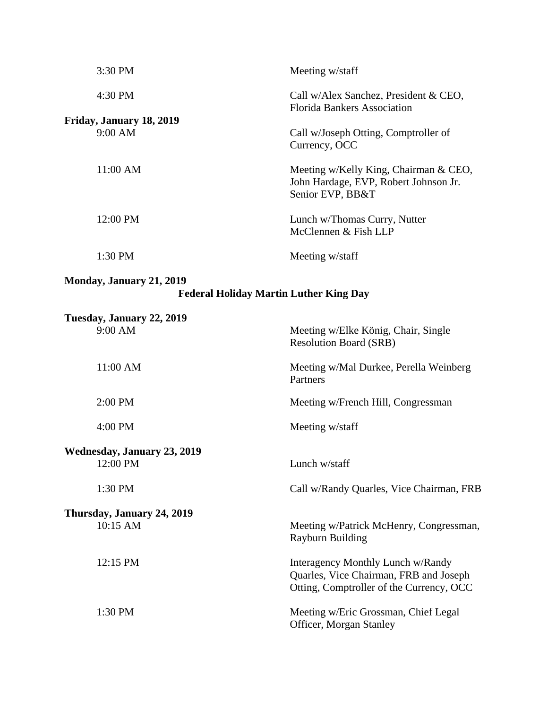| 3:30 PM                                        | Meeting w/staff                                                                                                         |
|------------------------------------------------|-------------------------------------------------------------------------------------------------------------------------|
| 4:30 PM                                        | Call w/Alex Sanchez, President & CEO,<br><b>Florida Bankers Association</b>                                             |
| Friday, January 18, 2019<br>9:00 AM            | Call w/Joseph Otting, Comptroller of<br>Currency, OCC                                                                   |
| 11:00 AM                                       | Meeting w/Kelly King, Chairman & CEO,<br>John Hardage, EVP, Robert Johnson Jr.<br>Senior EVP, BB&T                      |
| 12:00 PM                                       | Lunch w/Thomas Curry, Nutter<br>McClennen & Fish LLP                                                                    |
| 1:30 PM                                        | Meeting w/staff                                                                                                         |
| <b>Monday, January 21, 2019</b>                | <b>Federal Holiday Martin Luther King Day</b>                                                                           |
|                                                |                                                                                                                         |
| Tuesday, January 22, 2019                      |                                                                                                                         |
| $9:00$ AM                                      | Meeting w/Elke König, Chair, Single<br><b>Resolution Board (SRB)</b>                                                    |
| 11:00 AM                                       | Meeting w/Mal Durkee, Perella Weinberg<br>Partners                                                                      |
| 2:00 PM                                        | Meeting w/French Hill, Congressman                                                                                      |
| 4:00 PM                                        | Meeting w/staff                                                                                                         |
|                                                |                                                                                                                         |
| <b>Wednesday, January 23, 2019</b><br>12:00 PM | Lunch w/staff                                                                                                           |
| 1:30 PM                                        | Call w/Randy Quarles, Vice Chairman, FRB                                                                                |
|                                                |                                                                                                                         |
| Thursday, January 24, 2019<br>10:15 AM         | Meeting w/Patrick McHenry, Congressman,<br><b>Rayburn Building</b>                                                      |
| 12:15 PM                                       | Interagency Monthly Lunch w/Randy<br>Quarles, Vice Chairman, FRB and Joseph<br>Otting, Comptroller of the Currency, OCC |
| 1:30 PM                                        | Meeting w/Eric Grossman, Chief Legal<br>Officer, Morgan Stanley                                                         |